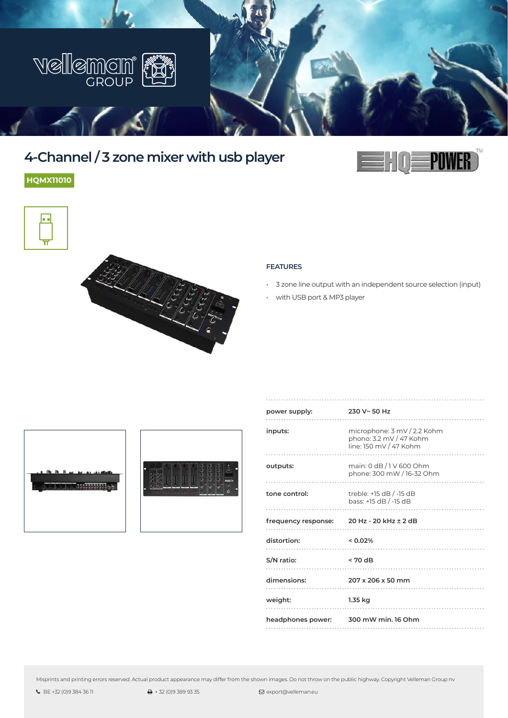

# **4-Channel / 3 zone mixer with usb player**

**HQMX11010**





#### **FEATURES**

- 3 zone line output with an independent source selection (input)
- with USB port & MP3 player





| power supply:                             | 230 V~ 50 Hz                                                                               |
|-------------------------------------------|--------------------------------------------------------------------------------------------|
| inputs:                                   | microphone: $3 \text{ mV}$ / 2.2 Kohm<br>phono: 3.2 mV / 47 Kohm<br>line: 150 mV / 47 Kohm |
| outputs:                                  | main: 0 dB / 1 V 600 Ohm<br>phone: 300 mW / 16-32 Ohm                                      |
| tone control:                             | treble: +15 dB / -15 dB<br>bass: +15 dB / -15 dB                                           |
| frequency response: 20 Hz - 20 kHz ± 2 dB |                                                                                            |
| distortion:<br>$< 0.02\%$                 |                                                                                            |
| S/N ratio:<br>$< 70 \text{ dB}$           |                                                                                            |
| dimensions:                               | 207 x 206 x 50 mm                                                                          |
| weight:                                   | 1.35 kg                                                                                    |
| headphones power: 300 mW min. 16 Ohm      |                                                                                            |

Misprints and printing errors reserved. Actual product appearance may differ from the shown images. Do not throw on the public highway. Copyright Velleman Group nv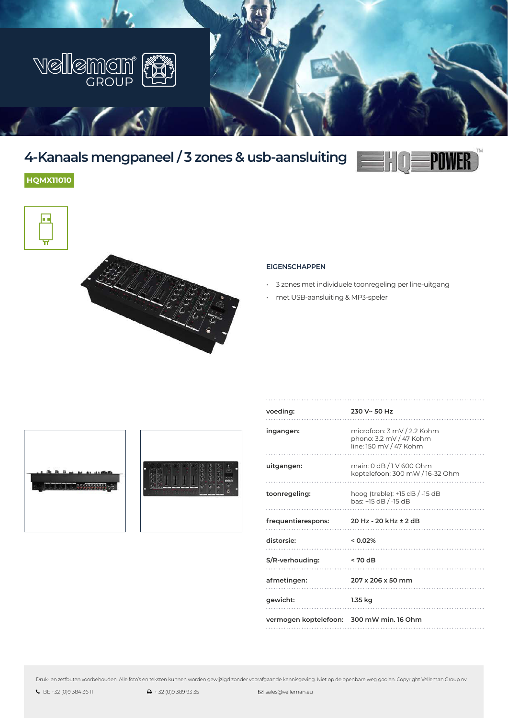

# **4-Kanaals mengpaneel / 3 zones & usb-aansluiting**



## **HQMX11010**



#### **EIGENSCHAPPEN**

- 3 zones met individuele toonregeling per line-uitgang
- met USB-aansluiting & MP3-speler





| voeding:                                 | 230 V~ 50 Hz                                                                    |
|------------------------------------------|---------------------------------------------------------------------------------|
| ingangen:                                | microfoon: 3 mV / 2.2 Kohm<br>phono: 3.2 mV / 47 Kohm<br>line: 150 mV / 47 Kohm |
| uitgangen:                               | main: 0 dB / 1 V 600 Ohm<br>koptelefoon: 300 mW / 16-32 Ohm                     |
| toonregeling:                            | hoog (treble): +15 dB / -15 dB<br>bas: +15 dB / -15 dB                          |
| frequentierespons:                       | 20 Hz - 20 kHz ± 2 dB                                                           |
| distorsie:                               | < 0.02%                                                                         |
| S/R-verhouding:                          | $< 70 \text{ dB}$                                                               |
| afmetingen:                              | 207 x 206 x 50 mm                                                               |
| gewicht:                                 | 1.35 kg                                                                         |
| vermogen koptelefoon: 300 mW min. 16 Ohm |                                                                                 |

Druk- en zetfouten voorbehouden. Alle foto's en teksten kunnen worden gewijzigd zonder voorafgaande kennisgeving. Niet op de openbare weg gooien. Copyright Velleman Group nv